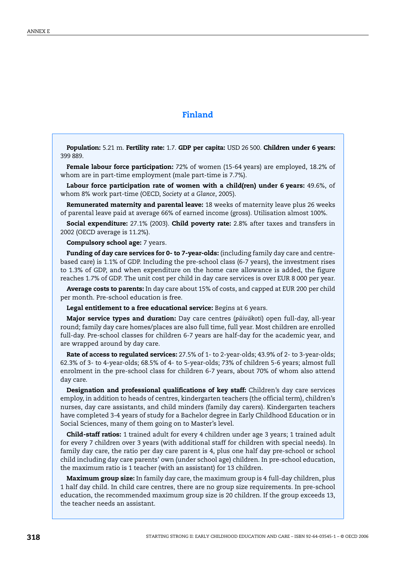# **Finland**

**Population:** 5.21 m. **Fertility rate:** 1.7. **GDP per capita:** USD 26 500. **Children under 6 years:** 399 889.

**Female labour force participation:** 72% of women (15-64 years) are employed, 18.2% of whom are in part-time employment (male part-time is 7.7%).

**Labour force participation rate of women with a child(ren) under 6 years:** 49.6%, of whom 8% work part-time (OECD, *Society at a Glance*, 2005).

**Remunerated maternity and parental leave:** 18 weeks of maternity leave plus 26 weeks of parental leave paid at average 66% of earned income (gross). Utilisation almost 100%.

**Social expenditure:** 27.1% (2003). **Child poverty rate:** 2.8% after taxes and transfers in 2002 (OECD average is 11.2%).

#### **Compulsory school age:** 7 years.

**Funding of day care services for 0- to 7-year-olds:** (including family day care and centrebased care) is 1.1% of GDP. Including the pre-school class (6-7 years), the investment rises to 1.3% of GDP, and when expenditure on the home care allowance is added, the figure reaches 1.7% of GDP. The unit cost per child in day care services is over EUR 8 000 per year.

**Average costs to parents:** In day care about 15% of costs, and capped at EUR 200 per child per month. Pre-school education is free.

**Legal entitlement to a free educational service:** Begins at 6 years.

**Major service types and duration:** Day care centres (*päiväkoti*) open full-day, all-year round; family day care homes/places are also full time, full year. Most children are enrolled full-day. Pre-school classes for children 6-7 years are half-day for the academic year, and are wrapped around by day care.

**Rate of access to regulated services:** 27.5% of 1- to 2-year-olds; 43.9% of 2- to 3-year-olds; 62.3% of 3- to 4-year-olds; 68.5% of 4- to 5-year-olds; 73% of children 5-6 years; almost full enrolment in the pre-school class for children 6-7 years, about 70% of whom also attend day care.

**Designation and professional qualifications of key staff:** Children's day care services employ, in addition to heads of centres, kindergarten teachers (the official term), children's nurses, day care assistants, and child minders (family day carers). Kindergarten teachers have completed 3-4 years of study for a Bachelor degree in Early Childhood Education or in Social Sciences, many of them going on to Master's level.

**Child-staff ratios:** 1 trained adult for every 4 children under age 3 years; 1 trained adult for every 7 children over 3 years (with additional staff for children with special needs). In family day care, the ratio per day care parent is 4, plus one half day pre-school or school child including day care parents' own (under school age) children. In pre-school education, the maximum ratio is 1 teacher (with an assistant) for 13 children.

**Maximum group size:** In family day care, the maximum group is 4 full-day children, plus 1 half day child. In child care centres, there are no group size requirements. In pre-school education, the recommended maximum group size is 20 children. If the group exceeds 13, the teacher needs an assistant.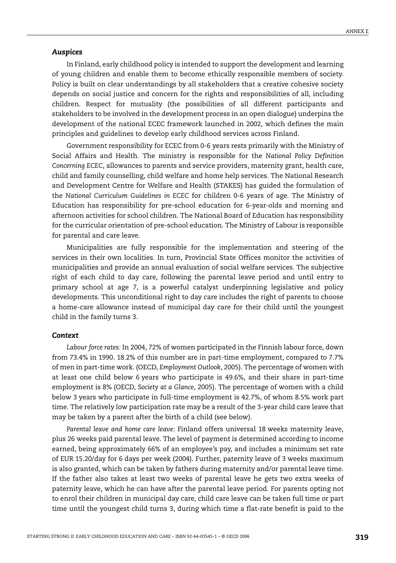# *Auspices*

In Finland, early childhood policy is intended to support the development and learning of young children and enable them to become ethically responsible members of society. Policy is built on clear understandings by all stakeholders that a creative cohesive society depends on social justice and concern for the rights and responsibilities of all, including children. Respect for mutuality (the possibilities of all different participants and stakeholders to be involved in the development process in an open dialogue) underpins the development of the national ECEC framework launched in 2002, which defines the main principles and guidelines to develop early childhood services across Finland.

Government responsibility for ECEC from 0-6 years rests primarily with the Ministry of Social Affairs and Health. The ministry is responsible for the *National Policy Definition Concerning ECEC*, allowances to parents and service providers, maternity grant, health care, child and family counselling, child welfare and home help services. The National Research and Development Centre for Welfare and Health (STAKES) has guided the formulation of the *National Curriculum Guidelines in ECEC* for children 0-6 years of age. The Ministry of Education has responsibility for pre-school education for 6-year-olds and morning and afternoon activities for school children. The National Board of Education has responsibility for the curricular orientation of pre-school education. The Ministry of Labour is responsible for parental and care leave.

Municipalities are fully responsible for the implementation and steering of the services in their own localities. In turn, Provincial State Offices monitor the activities of municipalities and provide an annual evaluation of social welfare services. The subjective right of each child to day care, following the parental leave period and until entry to primary school at age 7, is a powerful catalyst underpinning legislative and policy developments. This unconditional right to day care includes the right of parents to choose a home-care allowance instead of municipal day care for their child until the youngest child in the family turns 3.

# *Context*

*Labour force rates:* In 2004, 72% of women participated in the Finnish labour force, down from 73.4% in 1990. 18.2% of this number are in part-time employment, compared to 7.7% of men in part-time work. (OECD, *Employment Outlook*, 2005). The percentage of women with at least one child below 6 years who participate is 49.6%, and their share in part-time employment is 8% (OECD, *Society at a Glance*, 2005). The percentage of women with a child below 3 years who participate in full-time employment is 42.7%, of whom 8.5% work part time. The relatively low participation rate may be a result of the 3-year child care leave that may be taken by a parent after the birth of a child (see below).

*Parental leave and home care leave:* Finland offers universal 18 weeks maternity leave, plus 26 weeks paid parental leave. The level of payment is determined according to income earned, being approximately 66% of an employee's pay, and includes a minimum set rate of EUR 15.20/day for 6 days per week (2004). Further, paternity leave of 3 weeks maximum is also granted, which can be taken by fathers during maternity and/or parental leave time. If the father also takes at least two weeks of parental leave he gets two extra weeks of paternity leave, which he can have after the parental leave period. For parents opting not to enrol their children in municipal day care, child care leave can be taken full time or part time until the youngest child turns 3, during which time a flat-rate benefit is paid to the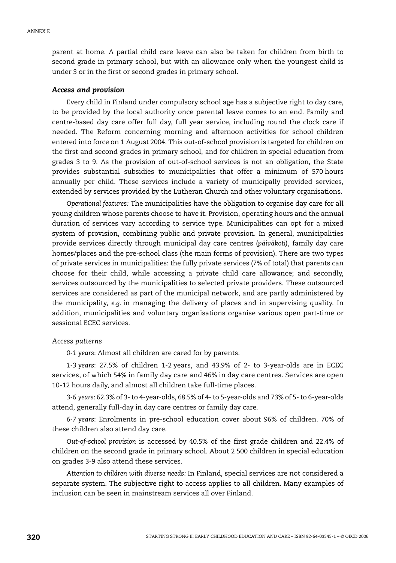parent at home. A partial child care leave can also be taken for children from birth to second grade in primary school, but with an allowance only when the youngest child is under 3 or in the first or second grades in primary school.

### *Access and provision*

Every child in Finland under compulsory school age has a subjective right to day care, to be provided by the local authority once parental leave comes to an end. Family and centre-based day care offer full day, full year service, including round the clock care if needed. The Reform concerning morning and afternoon activities for school children entered into force on 1 August 2004. This out-of-school provision is targeted for children on the first and second grades in primary school, and for children in special education from grades 3 to 9. As the provision of out-of-school services is not an obligation, the State provides substantial subsidies to municipalities that offer a minimum of 570 hours annually per child. These services include a variety of municipally provided services, extended by services provided by the Lutheran Church and other voluntary organisations.

*Operational features:* The municipalities have the obligation to organise day care for all young children whose parents choose to have it. Provision, operating hours and the annual duration of services vary according to service type. Municipalities can opt for a mixed system of provision, combining public and private provision. In general, municipalities provide services directly through municipal day care centres (*päiväkoti)*, family day care homes/places and the pre-school class (the main forms of provision). There are two types of private services in municipalities: the fully private services (7% of total) that parents can choose for their child, while accessing a private child care allowance; and secondly, services outsourced by the municipalities to selected private providers. These outsourced services are considered as part of the municipal network, and are partly administered by the municipality, *e.g.* in managing the delivery of places and in supervising quality. In addition, municipalities and voluntary organisations organise various open part-time or sessional ECEC services.

#### *Access patterns*

*0-1 years*: Almost all children are cared for by parents.

*1-3 years*: 27.5% of children 1-2 years, and 43.9% of 2- to 3-year-olds are in ECEC services, of which 54% in family day care and 46% in day care centres. Services are open 10-12 hours daily, and almost all children take full-time places.

*3-6 years*: 62.3% of 3- to 4-year-olds, 68.5% of 4- to 5-year-olds and 73% of 5- to 6-year-olds attend, generally full-day in day care centres or family day care.

*6-7 years*: Enrolments in pre-school education cover about 96% of children. 70% of these children also attend day care.

*Out-of-school provision* is accessed by 40.5% of the first grade children and 22.4% of children on the second grade in primary school. About 2 500 children in special education on grades 3-9 also attend these services.

*Attention to children with diverse needs:* In Finland, special services are not considered a separate system. The subjective right to access applies to all children. Many examples of inclusion can be seen in mainstream services all over Finland.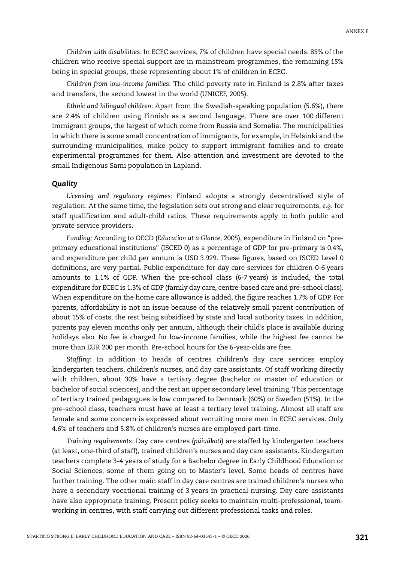*Children with disabilities:* In ECEC services, 7% of children have special needs. 85% of the children who receive special support are in mainstream programmes, the remaining 15% being in special groups, these representing about 1% of children in ECEC.

*Children from low-income families*: The child poverty rate in Finland is 2.8% after taxes and transfers, the second lowest in the world (UNICEF, 2005).

*Ethnic and bilingual children*: Apart from the Swedish-speaking population (5.6%), there are 2.4% of children using Finnish as a second language. There are over 100 different immigrant groups, the largest of which come from Russia and Somalia. The municipalities in which there is some small concentration of immigrants, for example, in Helsinki and the surrounding municipalities, make policy to support immigrant families and to create experimental programmes for them. Also attention and investment are devoted to the small Indigenous Sami population in Lapland.

### *Quality*

*Licensing and regulatory regimes:* Finland adopts a strongly decentralised style of regulation. At the same time, the legislation sets out strong and clear requirements, *e.g.* for staff qualification and adult-child ratios. These requirements apply to both public and private service providers.

*Funding:* According to OECD (*Education at a Glance*, 2005), expenditure in Finland on "preprimary educational institutions" (ISCED 0) as a percentage of GDP for pre-primary is 0.4%, and expenditure per child per annum is USD 3 929. These figures, based on ISCED Level 0 definitions, are very partial. Public expenditure for day care services for children 0-6 years amounts to 1.1% of GDP. When the pre-school class (6-7 years) is included, the total expenditure for ECEC is 1.3% of GDP (family day care, centre-based care and pre-school class). When expenditure on the home care allowance is added, the figure reaches 1.7% of GDP. For parents, affordability is not an issue because of the relatively small parent contribution of about 15% of costs, the rest being subsidised by state and local authority taxes. In addition, parents pay eleven months only per annum, although their child's place is available during holidays also. No fee is charged for low-income families, while the highest fee cannot be more than EUR 200 per month. Pre-school hours for the 6-year-olds are free.

*Staffing*: In addition to heads of centres children's day care services employ kindergarten teachers, children's nurses, and day care assistants. Of staff working directly with children, about 30% have a tertiary degree (bachelor or master of education or bachelor of social sciences), and the rest an upper secondary level training. This percentage of tertiary trained pedagogues is low compared to Denmark (60%) or Sweden (51%). In the pre-school class, teachers must have at least a tertiary level training. Almost all staff are female and some concern is expressed about recruiting more men in ECEC services. Only 4.6% of teachers and 5.8% of children's nurses are employed part-time.

*Training requirements:* Day care centres (*päiväkoti)* are staffed by kindergarten teachers (at least, one-third of staff), trained children's nurses and day care assistants. Kindergarten teachers complete 3-4 years of study for a Bachelor degree in Early Childhood Education or Social Sciences, some of them going on to Master's level. Some heads of centres have further training. The other main staff in day care centres are trained children's nurses who have a secondary vocational training of 3 years in practical nursing. Day care assistants have also appropriate training. Present policy seeks to maintain multi-professional, teamworking in centres, with staff carrying out different professional tasks and roles.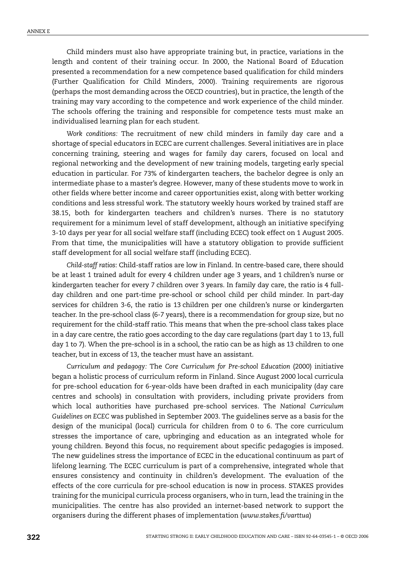Child minders must also have appropriate training but, in practice, variations in the length and content of their training occur. In 2000, the National Board of Education presented a recommendation for a new competence based qualification for child minders (Further Qualification for Child Minders, 2000). Training requirements are rigorous (perhaps the most demanding across the OECD countries), but in practice, the length of the training may vary according to the competence and work experience of the child minder. The schools offering the training and responsible for competence tests must make an individualised learning plan for each student.

*Work conditions:* The recruitment of new child minders in family day care and a shortage of special educators in ECEC are current challenges. Several initiatives are in place concerning training, steering and wages for family day carers, focused on local and regional networking and the development of new training models, targeting early special education in particular. For 73% of kindergarten teachers, the bachelor degree is only an intermediate phase to a master's degree. However, many of these students move to work in other fields where better income and career opportunities exist, along with better working conditions and less stressful work. The statutory weekly hours worked by trained staff are 38.15, both for kindergarten teachers and children's nurses. There is no statutory requirement for a minimum level of staff development, although an initiative specifying 3-10 days per year for all social welfare staff (including ECEC) took effect on 1 August 2005. From that time, the municipalities will have a statutory obligation to provide sufficient staff development for all social welfare staff (including ECEC).

*Child-staff ratios*: Child-staff ratios are low in Finland. In centre-based care, there should be at least 1 trained adult for every 4 children under age 3 years, and 1 children's nurse or kindergarten teacher for every 7 children over 3 years. In family day care, the ratio is 4 fullday children and one part-time pre-school or school child per child minder. In part-day services for children 3-6, the ratio is 13 children per one children's nurse or kindergarten teacher. In the pre-school class (6-7 years), there is a recommendation for group size, but no requirement for the child-staff ratio. This means that when the pre-school class takes place in a day care centre, the ratio goes according to the day care regulations (part day 1 to 13, full day 1 to 7). When the pre-school is in a school, the ratio can be as high as 13 children to one teacher, but in excess of 13, the teacher must have an assistant.

*Curriculum and pedagogy:* The *Core Curriculum for Pre-school Education* (2000) initiative began a holistic process of curriculum reform in Finland. Since August 2000 local curricula for pre-school education for 6-year-olds have been drafted in each municipality (day care centres and schools) in consultation with providers, including private providers from which local authorities have purchased pre-school services. The *National Curriculum Guidelines on ECEC* was published in September 2003. The guidelines serve as a basis for the design of the municipal (local) curricula for children from 0 to 6. The core curriculum stresses the importance of care, upbringing and education as an integrated whole for young children. Beyond this focus, no requirement about specific pedagogies is imposed. The new guidelines stress the importance of ECEC in the educational continuum as part of lifelong learning. The ECEC curriculum is part of a comprehensive, integrated whole that ensures consistency and continuity in children's development. The evaluation of the effects of the core curricula for pre-school education is now in process. STAKES provides training for the municipal curricula process organisers, who in turn, lead the training in the municipalities. The centre has also provided an internet-based network to support the organisers during the different phases of implementation (*www.stakes.fi/varttua*)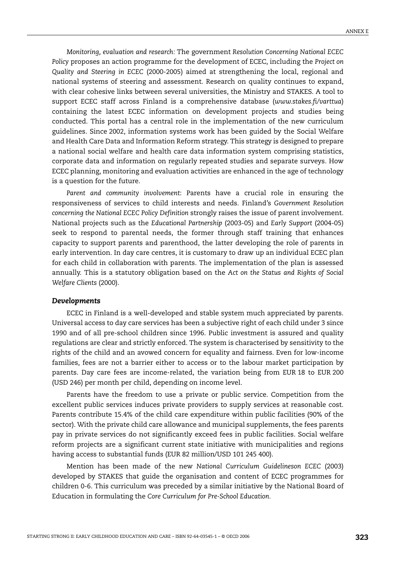*Monitoring, evaluation and research:* The government *Resolution Concerning National ECEC Policy* proposes an action programme for the development of ECEC, including the *Project on Quality and Steering in ECEC* (2000-2005) aimed at strengthening the local, regional and national systems of steering and assessment. Research on quality continues to expand, with clear cohesive links between several universities, the Ministry and STAKES. A tool to support ECEC staff across Finland is a comprehensive database (*www.stakes.fi/varttua*) containing the latest ECEC information on development projects and studies being conducted. This portal has a central role in the implementation of the new curriculum guidelines. Since 2002, information systems work has been guided by the Social Welfare and Health Care Data and Information Reform strategy. This strategy is designed to prepare a national social welfare and health care data information system comprising statistics, corporate data and information on regularly repeated studies and separate surveys. How ECEC planning, monitoring and evaluation activities are enhanced in the age of technology is a question for the future.

*Parent and community involvement*: Parents have a crucial role in ensuring the responsiveness of services to child interests and needs. Finland's *Government Resolution concerning the National ECEC Policy Definition* strongly raises the issue of parent involvement. National projects such as the *Educational Partnership* (2003-05) and *Early Support* (2004-05) seek to respond to parental needs, the former through staff training that enhances capacity to support parents and parenthood, the latter developing the role of parents in early intervention. In day care centres, it is customary to draw up an individual ECEC plan for each child in collaboration with parents. The implementation of the plan is assessed annually. This is a statutory obligation based on the *Act on the Status and Rights of Social Welfare Clients* (2000).

#### *Developments*

ECEC in Finland is a well-developed and stable system much appreciated by parents. Universal access to day care services has been a subjective right of each child under 3 since 1990 and of all pre-school children since 1996. Public investment is assured and quality regulations are clear and strictly enforced. The system is characterised by sensitivity to the rights of the child and an avowed concern for equality and fairness. Even for low-income families, fees are not a barrier either to access or to the labour market participation by parents. Day care fees are income-related, the variation being from EUR 18 to EUR 200 (USD 246) per month per child, depending on income level.

Parents have the freedom to use a private or public service. Competition from the excellent public services induces private providers to supply services at reasonable cost. Parents contribute 15.4% of the child care expenditure within public facilities (90% of the sector). With the private child care allowance and municipal supplements, the fees parents pay in private services do not significantly exceed fees in public facilities. Social welfare reform projects are a significant current state initiative with municipalities and regions having access to substantial funds (EUR 82 million/USD 101 245 400).

Mention has been made of the new *National Curriculum Guidelineson ECEC* (2003) developed by STAKES that guide the organisation and content of ECEC programmes for children 0-6. This curriculum was preceded by a similar initiative by the National Board of Education in formulating the *Core Curriculum for Pre-School Education.*